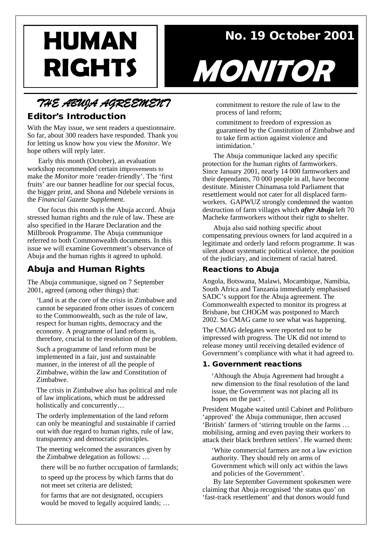**HUMAN** No. 19 October 2001

# *THE ABUJA AGREEMENT*

## Editor's Introduction

With the May issue, we sent readers a questionnaire. So far, about 300 readers have responded. Thank you for letting us know how you view the *Monitor*. We hope others will reply later.

Early this month (October), an evaluation workshop recommended certain improvements to make the *Monitor* more 'reader-friendly'. The 'first fruits' are our banner headline for our special focus, the bigger print, and Shona and Ndebele versions in the *Financial Gazette Supplement*.

Our focus this month is the Abuja accord. Abuja stressed human rights and the rule of law. These are also specified in the Harare Declaration and the Millbrook Programme. The Abuja communique referred to both Commonwealth documents. In this issue we will examine Government's observance of Abuja and the human rights it agreed to uphold.

# Abuja and Human Rights

The Abuja communique, signed on 7 September 2001, agreed (among other things) that:

'Land is at the core of the crisis in Zimbabwe and cannot be separated from other issues of concern to the Commonwealth, such as the rule of law, respect for human rights, democracy and the economy. A programme of land reform is, therefore, crucial to the resolution of the problem.

Such a programme of land reform must be implemented in a fair, just and sustainable manner, in the interest of all the people of Zimbabwe, within the law and Constitution of Zimbabwe.

The crisis in Zimbabwe also has political and rule of law implications, which must be addressed holistically and concurrently…

The orderly implementation of the land reform can only be meaningful and sustainable if carried out with due regard to human rights, rule of law, transparency and democratic principles.

The meeting welcomed the assurances given by the Zimbabwe delegation as follows: …

there will be no further occupation of farmlands;

to speed up the process by which farms that do not meet set criteria are delisted;

for farms that are not designated, occupiers would be moved to legally acquired lands; …



commitment to restore the rule of law to the process of land reform;

commitment to freedom of expression as guaranteed by the Constitution of Zimbabwe and to take firm action against violence and intimidation<sup>'</sup>

The Abuja communique lacked any specific protection for the human rights of farmworkers. Since January 2001, nearly 14 000 farmworkers and their dependants, 70 000 people in all, have become destitute. Minister Chinamasa told Parliament that resettlement would not cater for all displaced farmworkers. GAPWUZ strongly condemned the wanton destruction of farm villages which *after Abuja* left 70 Macheke farmworkers without their right to shelter.

Abuja also said nothing specific about compensating previous owners for land acquired in a legitimate and orderly land reform programme. It was silent about systematic political violence, the position of the judiciary, and incitement of racial hatred.

#### Reactions to Abuja

Angola, Botswana, Malawi, Mocambique, Namibia, South Africa and Tanzania immediately emphasised SADC's support for the Abuja agreement. The Commonwealth expected to monitor its progress at Brisbane, but CHOGM was postponed to March 2002. So CMAG came to see what was happening.

The CMAG delegates were reported not to be impressed with progress. The UK did not intend to release money until receiving detailed evidence of Government's compliance with what it had agreed to.

#### 1. Government reactions

'Although the Abuja Agreement had brought a new dimension to the final resolution of the land issue, the Government was not placing all its hopes on the pact'.

President Mugabe waited until Cabinet and Politburo 'approved' the Abuja communique, then accused 'British' farmers of 'stirring trouble on the farms … mobilising, arming and even paying their workers to attack their black brethren settlers'. He warned them:

'White commercial farmers are not a law eviction authority. They should rely on arms of Government which will only act within the laws and policies of the Government'.

By late September Government spokesmen were claiming that Abuja recognised 'the status quo' on 'fast-track resettlement' and that donors would fund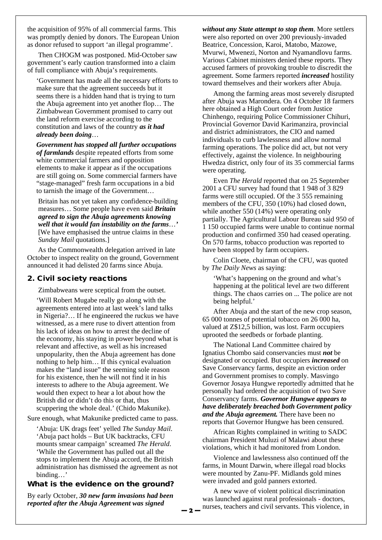the acquisition of 95% of all commercial farms. This was promptly denied by donors. The European Union as donor refused to support 'an illegal programme'.

Then CHOGM was postponed. Mid-October saw government's early caution transformed into a claim of full compliance with Abuja's requirements.

'Government has made all the necessary efforts to make sure that the agreement succeeds but it seems there is a hidden hand that is trying to turn the Abuja agreement into yet another flop… The Zimbabwean Government promised to carry out the land reform exercise according to the constitution and laws of the country *as it had already been doing*…

*Government has stopped all further occupations of farmlands* despite repeated efforts from some white commercial farmers and opposition elements to make it appear as if the occupations are still going on. Some commercial farmers have "stage-managed" fresh farm occupations in a bid to tarnish the image of the Government…

Britain has not yet taken any confidence-building measures… Some people have even said *Britain agreed to sign the Abuja agreements knowing well that it would fan instability on the farms*…*'* [We have emphasised the untrue claims in these *Sunday Mail* quotations.]

As the Commonwealth delegation arrived in late October to inspect reality on the ground, Government announced it had delisted 20 farms since Abuja.

#### 2. Civil society reactions

Zimbabweans were sceptical from the outset.

'Will Robert Mugabe really go along with the agreements entered into at last week's land talks in Nigeria?… If he engineered the ruckus we have witnessed, as a mere ruse to divert attention from his lack of ideas on how to arrest the decline of the economy, his staying in power beyond what is relevant and affective, as well as his increased unpopularity, then the Abuja agreement has done nothing to help him… If this cynical evaluation makes the "land issue" the seeming sole reason for his existence, then he will not find it in his interests to adhere to the Abuja agreement. We would then expect to hear a lot about how the British did or didn't do this or that, thus scuppering the whole deal.' (Chido Makunike).

Sure enough, what Makunike predicted came to pass.

'Abuja: UK drags feet' yelled *The Sunday Mail*. 'Abuja pact holds – But UK backtracks, CFU mounts smear campaign' screamed *The Herald*. 'While the Government has pulled out all the stops to implement the Abuja accord, the British administration has dismissed the agreement as not binding…'

#### What is the evidence on the ground?

By early October, *30 new farm invasions had been reported after the Abuja Agreement was signed* 

*without any State attempt to stop them*. More settlers were also reported on over 200 previously-invaded Beatrice, Concession, Karoi, Matobo, Mazowe, Mvurwi, Mwenezi, Norton and Nyamandlovu farms. Various Cabinet ministers denied these reports. They accused farmers of provoking trouble to discredit the agreement. Some farmers reported *increased* hostility toward themselves and their workers after Abuja.

Among the farming areas most severely disrupted after Abuja was Marondera. On 4 October 18 farmers here obtained a High Court order from Justice Chinhengo, requiring Police Commissioner Chihuri, Provincial Governor David Karimanzira, provincial and district administrators, the CIO and named individuals to curb lawlessness and allow normal farming operations. The police did act, but not very effectively, against the violence. In neighbouring Hwedza district, only four of its 35 commercial farms were operating.

Even *The Herald* reported that on 25 September 2001 a CFU survey had found that 1 948 of 3 829 farms were still occupied. Of the 3 555 remaining members of the CFU, 350 (10%) had closed down, while another 550 (14%) were operating only partially. The Agricultural Labour Bureau said 950 of 1 150 occupied farms were unable to continue normal production and confirmed 350 had ceased operating. On 570 farms, tobacco production was reported to have been stopped by farm occupiers.

Colin Cloete, chairman of the CFU, was quoted by *The Daily News* as saying:

'What's happening on the ground and what's happening at the political level are two different things. The chaos carries on ... The police are not being helpful.'

After Abuja and the start of the new crop season, 65 000 tonnes of potential tobacco on 26 000 ha, valued at Z\$12,5 billion, was lost. Farm occupiers uprooted the seedbeds or forbade planting.

The National Land Committee chaired by Ignatius Chombo said conservancies must *not* be designated or occupied. But occupiers *increased* on Save Conservancy farms, despite an eviction order and Government promises to comply. Masvingo Governor Josaya Hungwe reportedly admitted that he personally had ordered the acquisition of two Save Conservancy farms. *Governor Hungwe appears to have deliberately breached both Government policy and the Abuja agreement.* There have been no reports that Governor Hungwe has been censured.

African Rights complained in writing to SADC chairman President Muluzi of Malawi about these violations, which it had monitored from London.

Violence and lawlessness also continued off the farms, in Mount Darwin, where illegal road blocks were mounted by Zanu-PF. Midlands gold mines were invaded and gold panners extorted.

A new wave of violent political discrimination was launched against rural professionals - doctors, nurses, teachers and civil servants. This violence, in

**— 2 —**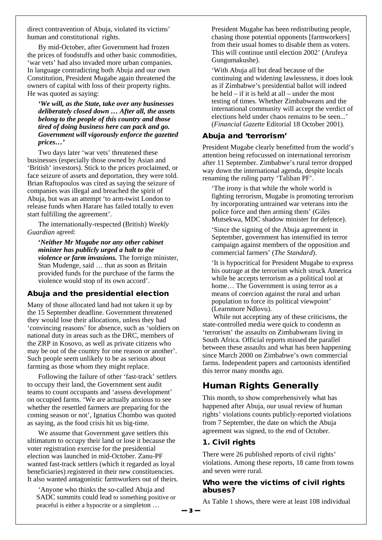direct contravention of Abuja, violated its victims' human and constitutional rights.

By mid-October, after Government had frozen the prices of foodstuffs and other basic commodities, 'war vets' had also invaded more urban companies. In language contradicting both Abuja and our own Constitution, President Mugabe again threatened the owners of capital with loss of their property rights. He was quoted as saying:

*'We will, as the State, take over any businesses deliberately closed down … After all, the assets belong to the people of this country and those tired of doing business here can pack and go. Government will vigorously enforce the gazetted prices…'*

Two days later 'war vets' threatened these businesses (especially those owned by Asian and 'British' investors). Stick to the prices proclaimed, or face seizure of assets and deportation, they were told. Brian Raftopoulos was cited as saying the seizure of companies was illegal and breached the spirit of Abuja, but was an attempt 'to arm-twist London to release funds when Harare has failed totally to even start fulfilling the agreement'.

The internationally-respected (British) *Weekly Guardian* agreed:

**'***Neither Mr Mugabe nor any other cabinet minister has publicly urged a halt to the violence or farm invasions.* The foreign minister, Stan Mudenge, said … that as soon as Britain provided funds for the purchase of the farms the violence would stop of its own accord'.

#### Abuja and the presidential election

Many of those allocated land had not taken it up by the 15 September deadline. Government threatened they would lose their allocations, unless they had 'convincing reasons' for absence, such as 'soldiers on national duty in areas such as the DRC, members of the ZRP in Kosovo, as well as private citizens who may be out of the country for one reason or another'. Such people seem unlikely to be as serious about farming as those whom they might replace.

Following the failure of other 'fast-track' settlers to occupy their land, the Government sent audit teams to count occupants and 'assess development' on occupied farms. 'We are actually anxious to see whether the resettled farmers are preparing for the coming season or not', Ignatius Chombo was quoted as saying, as the food crisis hit us big-time.

We assume that Government gave settlers this ultimatum to occupy their land or lose it because the voter registration exercise for the presidential election was launched in mid-October. Zanu-PF wanted fast-track settlers (which it regarded as loyal beneficiaries) registered in their new constituencies. It also wanted antagonistic farmworkers out of theirs.

'Anyone who thinks the so-called Abuja and SADC summits could lead to something positive or peaceful is either a hypocrite or a simpleton …

President Mugabe has been redistributing people, chasing those potential opponents [farmworkers] from their usual homes to disable them as voters. This will continue until election 2002' (Arufeya Gungumakushe).

'With Abuja all but dead because of the continuing and widening lawlessness, it does look as if Zimbabwe's presidential ballot will indeed be held – if it is held at all – under the most testing of times. Whether Zimbabweans and the international community will accept the verdict of elections held under chaos remains to be seen...' (*Financial Gazette* Editorial 18 October 2001).

#### Abuja and 'terrorism'

President Mugabe clearly benefitted from the world's attention being refocussed on international terrorism after 11 September. Zimbabwe's rural terror dropped way down the international agenda, despite locals renaming the ruling party 'Taliban PF'.

'The irony is that while the whole world is fighting terrorism, Mugabe is promoting terrorism by incorporating untrained war veterans into the police force and then arming them' (Giles Mutsekwa, MDC shadow minister for defence).

'Since the signing of the Abuja agreement in September, government has intensified its terror campaign against members of the opposition and commercial farmers' (*The Standard*).

'It is hypocritical for President Mugabe to express his outrage at the terrorism which struck America while he accepts terrorism as a political tool at home... The Government is using terror as a means of coercion against the rural and urban population to force its political viewpoint' (Learnmore Ndlovu).

While not accepting any of these criticisms, the state-controlled media were quick to condemn as 'terrorism' the assaults on Zimbabweans living in South Africa. Official reports missed the parallel between these assaults and what has been happening since March 2000 on Zimbabwe's own commercial farms. Independent papers and cartoonists identified this terror many months ago.

# Human Rights Generally

This month, to show comprehensively what has happened after Abuja, our usual review of human rights' violations counts publicly-reported violations from 7 September, the date on which the Abuja agreement was signed, to the end of October.

#### 1. Civil rights

There were 26 published reports of civil rights' violations. Among these reports, 18 came from towns and seven were rural.

#### Who were the victims of civil rights abuses?

As Table 1 shows, there were at least 108 individual

**— 3 —**